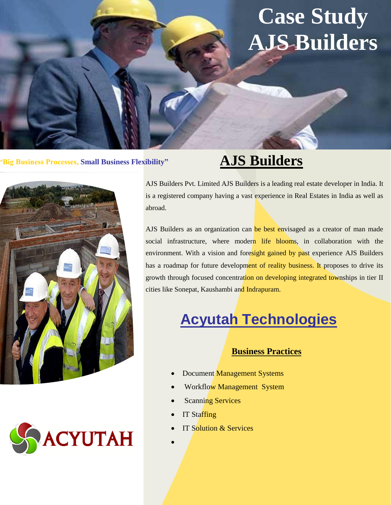# **Case Study AJS Builders**

#### **"Big Business Processes, Small Business Flexibility"**



#### **AJS Builders**

AJS Builders Pvt. Limited AJS Builders is a leading real estate developer in India. It is a registered company having a vast experience in Real Estates in India as well as abroad.

AJS Builders as an organization can be best envisaged as a creator of man made social infrastructure, where modern life blooms, in collaboration with the environment. With a vision and foresight gained by past experience AJS Builders has a roadmap for future development of reality business. It proposes to drive its growth through focused concentration on developing integrated townships in tier II cities like Sonepat, Kaushambi and Indrapuram.

# **Acyutah Technologies**

#### **Business Practices**

- Document Management Systems
- Workflow Management System
- Scanning Services
- IT Staffing
- IT Solution & Services
- $\bullet$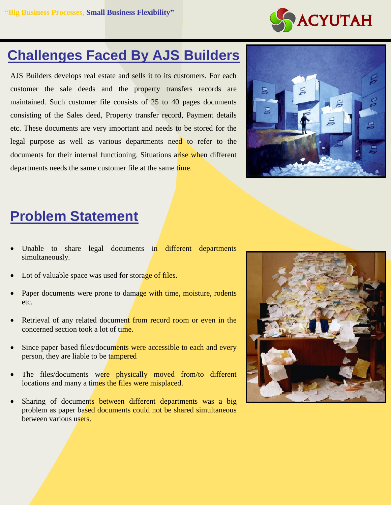

#### **Challenges Faced By AJS Builders**

AJS Builders develops real estate and sells it to its customers. For each customer the sale deeds and the property transfers records are maintained. Such customer file consists of 25 to 40 pages documents consisting of the Sales deed, Property transfer record, Payment details etc. These documents are very important and needs to be stored for the legal purpose as well as various departments need to refer to the documents for their internal functioning. Situations arise when different departments needs the same customer file at the same time.



### **Problem Statement**

- Unable to share legal documents in different departments simultaneously.
- Lot of valuable space was used for storage of files.
- Paper documents were prone to damage with time, moisture, rodents etc.
- Retrieval of any related document from record room or even in the concerned section took a lot of time.
- Since paper based files/documents were accessible to each and every person, they are liable to be tampered
- The files/documents were physically moved from/to different locations and many a times the files were misplaced.
- Sharing of documents between different departments was a big problem as paper based documents could not be shared simultaneous between various users.